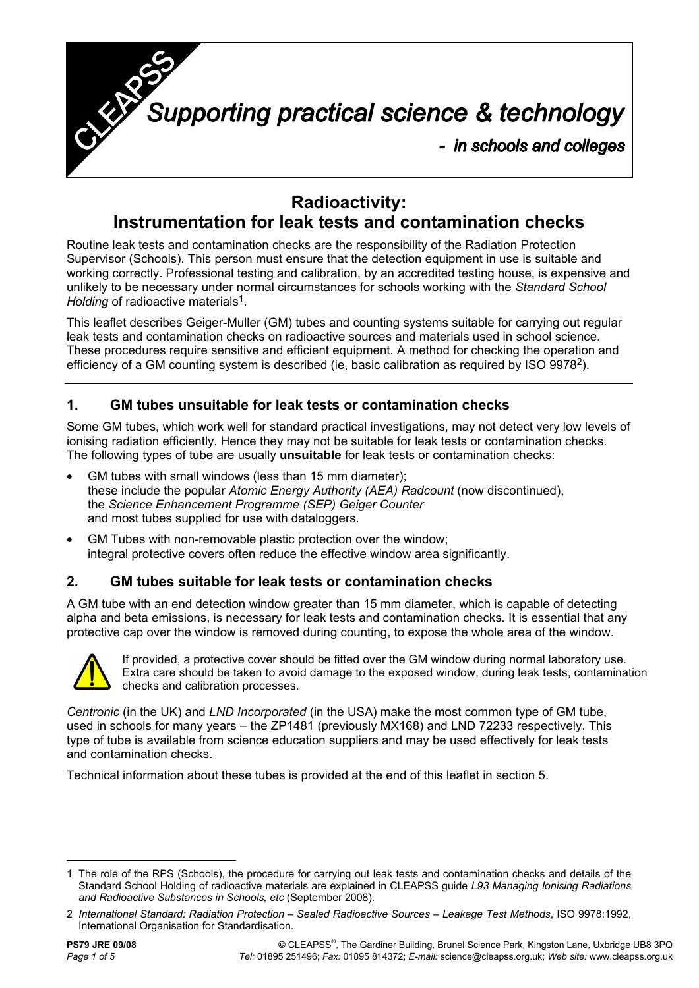Supporting practical science & technology

- in schools and colleges

# **Radioactivity: Instrumentation for leak tests and contamination checks**

Routine leak tests and contamination checks are the responsibility of the Radiation Protection Supervisor (Schools). This person must ensure that the detection equipment in use is suitable and working correctly. Professional testing and calibration, by an accredited testing house, is expensive and unlikely to be necessary under normal circumstances for schools working with the *Standard School Holding* of radioactive materials<sup>1</sup>.

This leaflet describes Geiger-Muller (GM) tubes and counting systems suitable for carrying out regular leak tests and contamination checks on radioactive sources and materials used in school science. These procedures require sensitive and efficient equipment. A method for checking the operation and efficiency of a GM counting system is described (ie, basic calibration as required by ISO 997[82\)](#page-0-1).

# **1. GM tubes unsuitable for leak tests or contamination checks**

Some GM tubes, which work well for standard practical investigations, may not detect very low levels of ionising radiation efficiently. Hence they may not be suitable for leak tests or contamination checks. The following types of tube are usually **unsuitable** for leak tests or contamination checks:

- GM tubes with small windows (less than 15 mm diameter); these include the popular *Atomic Energy Authority (AEA) Radcount* (now discontinued), the *Science Enhancement Programme (SEP) Geiger Counter* and most tubes supplied for use with dataloggers.
- GM Tubes with non-removable plastic protection over the window; integral protective covers often reduce the effective window area significantly.

# **2. GM tubes suitable for leak tests or contamination checks**

A GM tube with an end detection window greater than 15 mm diameter, which is capable of detecting alpha and beta emissions, is necessary for leak tests and contamination checks. It is essential that any protective cap over the window is removed during counting, to expose the whole area of the window.



If provided, a protective cover should be fitted over the GM window during normal laboratory use. Extra care should be taken to avoid damage to the exposed window, during leak tests, contamination checks and calibration processes.

*Centronic* (in the UK) and *LND Incorporated* (in the USA) make the most common type of GM tube, used in schools for many years – the ZP1481 (previously MX168) and LND 72233 respectively. This type of tube is available from science education suppliers and may be used effectively for leak tests and contamination checks.

Technical information about these tubes is provided at the end of this leaflet in section 5.

<span id="page-0-0"></span><sup>1</sup> The role of the RPS (Schools), the procedure for carrying out leak tests and contamination checks and details of the Standard School Holding of radioactive materials are explained in CLEAPSS guide *L93 Managing Ionising Radiations and Radioactive Substances in Schools, etc* (September 2008).

<span id="page-0-1"></span><sup>2</sup> *International Standard: Radiation Protection – Sealed Radioactive Sources – Leakage Test Methods*, ISO 9978:1992, International Organisation for Standardisation.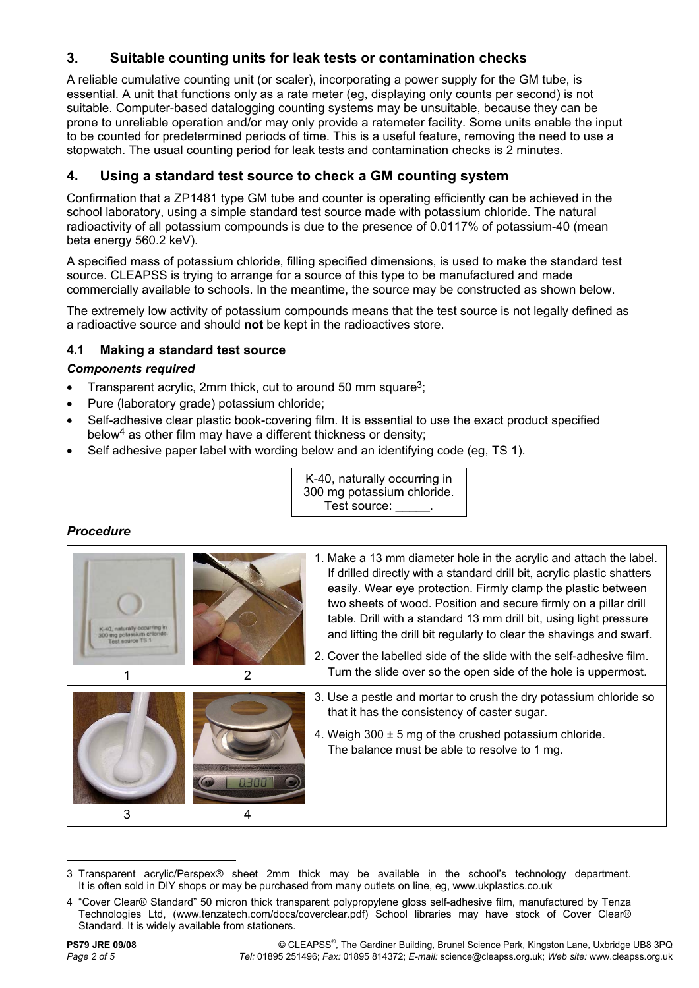# **3. Suitable counting units for leak tests or contamination checks**

A reliable cumulative counting unit (or scaler), incorporating a power supply for the GM tube, is essential. A unit that functions only as a rate meter (eg, displaying only counts per second) is not suitable. Computer-based datalogging counting systems may be unsuitable, because they can be prone to unreliable operation and/or may only provide a ratemeter facility. Some units enable the input to be counted for predetermined periods of time. This is a useful feature, removing the need to use a stopwatch. The usual counting period for leak tests and contamination checks is 2 minutes.

# **4. Using a standard test source to check a GM counting system**

Confirmation that a ZP1481 type GM tube and counter is operating efficiently can be achieved in the school laboratory, using a simple standard test source made with potassium chloride. The natural radioactivity of all potassium compounds is due to the presence of 0.0117% of potassium-40 (mean beta energy 560.2 keV).

A specified mass of potassium chloride, filling specified dimensions, is used to make the standard test source. CLEAPSS is trying to arrange for a source of this type to be manufactured and made commercially available to schools. In the meantime, the source may be constructed as shown below.

The extremely low activity of potassium compounds means that the test source is not legally defined as a radioactive source and should **not** be kept in the radioactives store.

### **4.1 Making a standard test source**

#### *Components required*

- Transparent acrylic, 2mm thick, cut to around 50 mm square<sup>3</sup>;
- Pure (laboratory grade) potassium chloride;
- Self-adhesive clear plastic book-covering film. It is essential to use the exact product specified below[4](#page-1-1) as other film may have a different thickness or density;
- Self adhesive paper label with wording below and an identifying code (eg, TS 1).

K-40, naturally occurring in 300 mg potassium chloride. Test source: \_\_\_\_\_.

#### *Procedure*



<sup>3</sup> Transparent acrylic/Perspex® sheet 2mm thick may be available in the school's technology department. It is often sold in DIY shops or may be purchased from many outlets on line, eg, www.ukplastics.co.uk

<span id="page-1-0"></span>

<span id="page-1-1"></span><sup>4 &</sup>quot;Cover Clear® Standard" 50 micron thick transparent polypropylene gloss self-adhesive film, manufactured by Tenza Technologies Ltd, (www.tenzatech.com/docs/coverclear.pdf) School libraries may have stock of Cover Clear® Standard. It is widely available from stationers.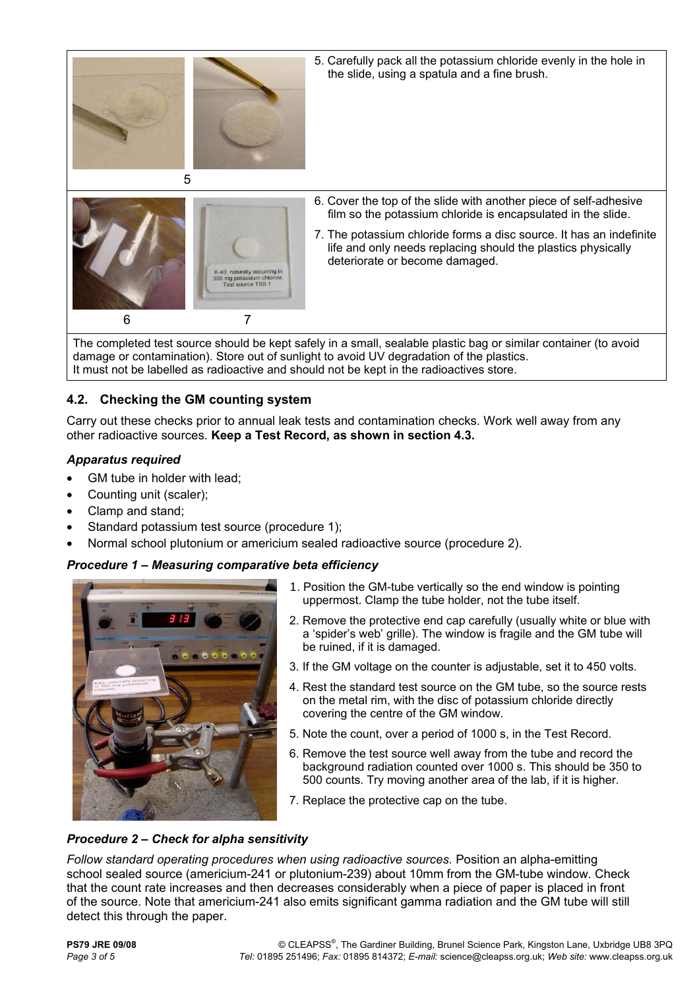

The completed test source should be kept safely in a small, sealable plastic bag or similar container (to avoid damage or contamination). Store out of sunlight to avoid UV degradation of the plastics. It must not be labelled as radioactive and should not be kept in the radioactives store.

# **4.2. Checking the GM counting system**

Carry out these checks prior to annual leak tests and contamination checks. Work well away from any other radioactive sources. **Keep a Test Record, as shown in section 4.3.**

#### *Apparatus required*

- GM tube in holder with lead;
- Counting unit (scaler);
- Clamp and stand;
- Standard potassium test source (procedure 1);
- Normal school plutonium or americium sealed radioactive source (procedure 2).

#### *Procedure 1 – Measuring comparative beta efficiency*



- 1. Position the GM-tube vertically so the end window is pointing uppermost. Clamp the tube holder, not the tube itself.
- 2. Remove the protective end cap carefully (usually white or blue with a 'spider's web' grille). The window is fragile and the GM tube will be ruined, if it is damaged.
- 3. If the GM voltage on the counter is adjustable, set it to 450 volts.
- 4. Rest the standard test source on the GM tube, so the source rests on the metal rim, with the disc of potassium chloride directly covering the centre of the GM window.
- 5. Note the count, over a period of 1000 s, in the Test Record.
- 6. Remove the test source well away from the tube and record the background radiation counted over 1000 s. This should be 350 to 500 counts. Try moving another area of the lab, if it is higher.
- 7. Replace the protective cap on the tube.

#### *Procedure 2 – Check for alpha sensitivity*

*Follow standard operating procedures when using radioactive sources.* Position an alpha-emitting school sealed source (americium-241 or plutonium-239) about 10mm from the GM-tube window. Check that the count rate increases and then decreases considerably when a piece of paper is placed in front of the source. Note that americium-241 also emits significant gamma radiation and the GM tube will still detect this through the paper.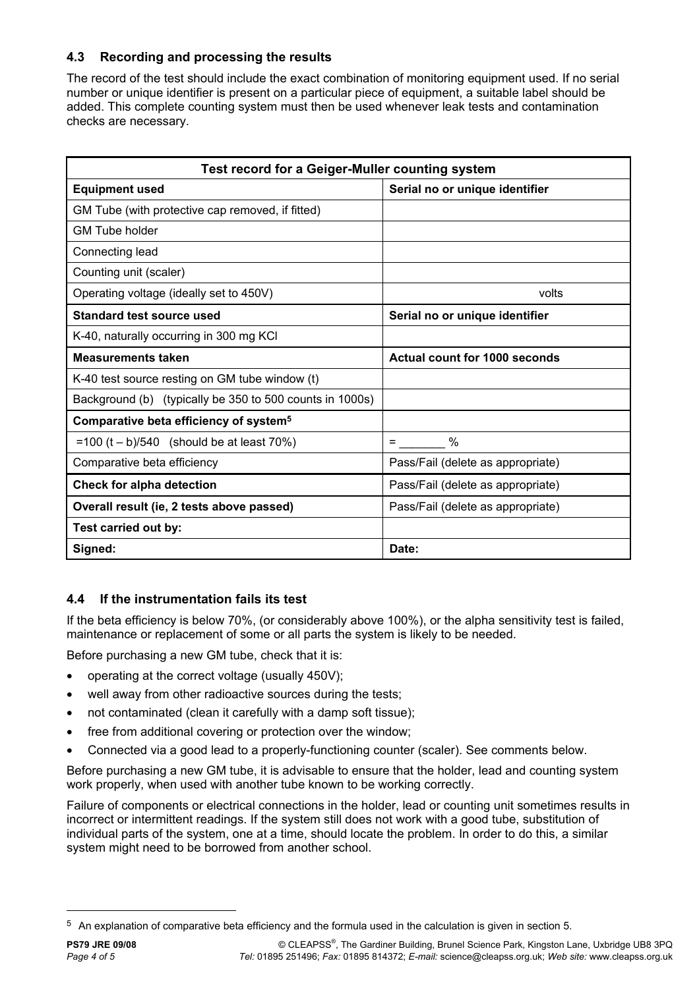# **4.3 Recording and processing the results**

The record of the test should include the exact combination of monitoring equipment used. If no serial number or unique identifier is present on a particular piece of equipment, a suitable label should be added. This complete counting system must then be used whenever leak tests and contamination checks are necessary.

| <b>Test record for a Geiger-Muller counting system</b>   |                                      |
|----------------------------------------------------------|--------------------------------------|
| <b>Equipment used</b>                                    | Serial no or unique identifier       |
| GM Tube (with protective cap removed, if fitted)         |                                      |
| <b>GM Tube holder</b>                                    |                                      |
| Connecting lead                                          |                                      |
| Counting unit (scaler)                                   |                                      |
| Operating voltage (ideally set to 450V)                  | volts                                |
| Standard test source used                                | Serial no or unique identifier       |
| K-40, naturally occurring in 300 mg KCI                  |                                      |
| <b>Measurements taken</b>                                | <b>Actual count for 1000 seconds</b> |
| K-40 test source resting on GM tube window (t)           |                                      |
| Background (b) (typically be 350 to 500 counts in 1000s) |                                      |
| Comparative beta efficiency of system <sup>5</sup>       |                                      |
| $=$ 100 (t – b)/540 (should be at least 70%)             | $\%$<br>=                            |
| Comparative beta efficiency                              | Pass/Fail (delete as appropriate)    |
| <b>Check for alpha detection</b>                         | Pass/Fail (delete as appropriate)    |
| Overall result (ie, 2 tests above passed)                | Pass/Fail (delete as appropriate)    |
| Test carried out by:                                     |                                      |
| Signed:                                                  | Date:                                |

# **4.4 If the instrumentation fails its test**

If the beta efficiency is below 70%, (or considerably above 100%), or the alpha sensitivity test is failed, maintenance or replacement of some or all parts the system is likely to be needed.

Before purchasing a new GM tube, check that it is:

- operating at the correct voltage (usually 450V);
- well away from other radioactive sources during the tests;
- not contaminated (clean it carefully with a damp soft tissue);
- free from additional covering or protection over the window;
- Connected via a good lead to a properly-functioning counter (scaler). See comments below.

Before purchasing a new GM tube, it is advisable to ensure that the holder, lead and counting system work properly, when used with another tube known to be working correctly.

Failure of components or electrical connections in the holder, lead or counting unit sometimes results in incorrect or intermittent readings. If the system still does not work with a good tube, substitution of individual parts of the system, one at a time, should locate the problem. In order to do this, a similar system might need to be borrowed from another school.

<span id="page-3-0"></span><sup>5</sup> An explanation of comparative beta efficiency and the formula used in the calculation is given in section 5.